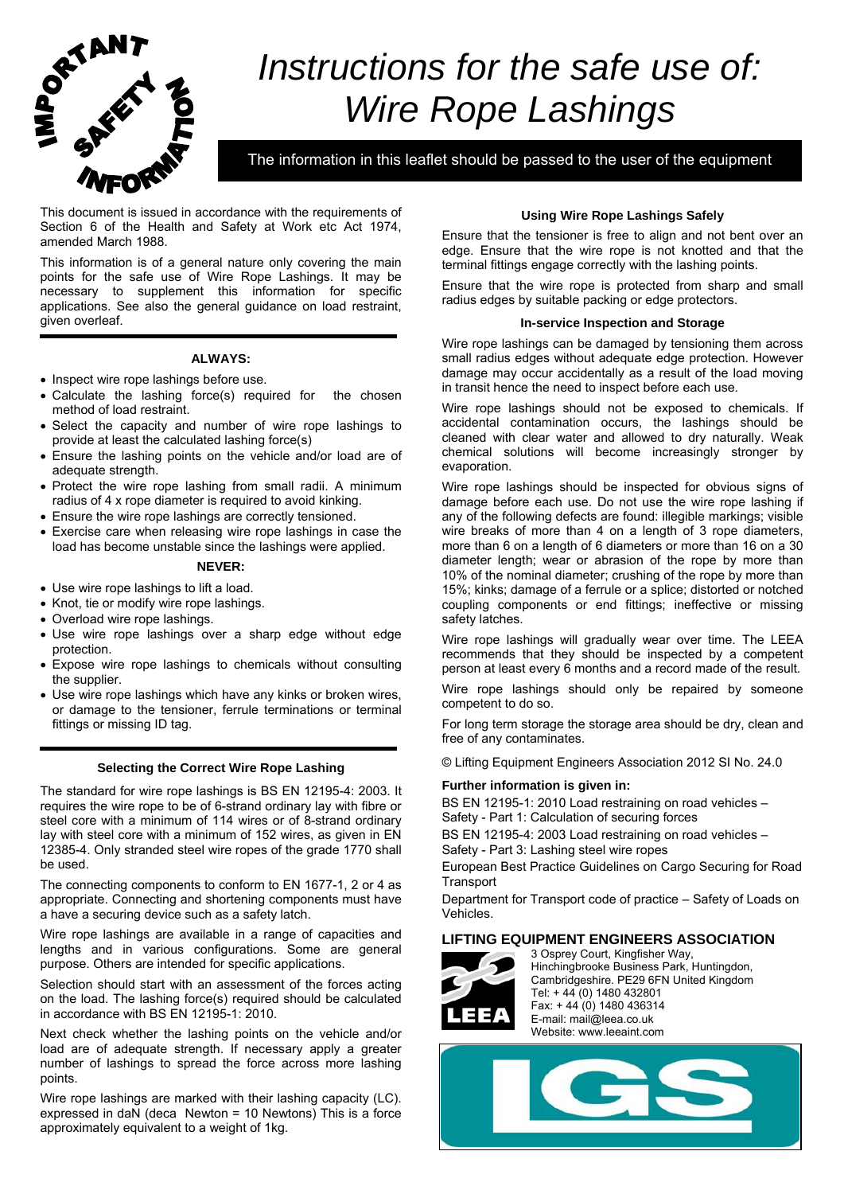

# *Instructions for the safe use of: Wire Rope Lashings*

The information in this leaflet should be passed to the user of the equipment

This document is issued in accordance with the requirements of Section 6 of the Health and Safety at Work etc Act 1974, amended March 1988.

This information is of a general nature only covering the main points for the safe use of Wire Rope Lashings. It may be necessary to supplement this information for specific applications. See also the general guidance on load restraint, given overleaf.

## **ALWAYS:**

- Inspect wire rope lashings before use.
- Calculate the lashing force(s) required for the chosen method of load restraint.
- Select the capacity and number of wire rope lashings to provide at least the calculated lashing force(s)
- Ensure the lashing points on the vehicle and/or load are of adequate strength.
- Protect the wire rope lashing from small radii. A minimum radius of 4 x rope diameter is required to avoid kinking.
- Ensure the wire rope lashings are correctly tensioned.
- Exercise care when releasing wire rope lashings in case the load has become unstable since the lashings were applied.

## **NEVER:**

- Use wire rope lashings to lift a load.
- Knot, tie or modify wire rope lashings.
- Overload wire rope lashings.
- Use wire rope lashings over a sharp edge without edge protection.
- Expose wire rope lashings to chemicals without consulting the supplier.
- Use wire rope lashings which have any kinks or broken wires, or damage to the tensioner, ferrule terminations or terminal fittings or missing ID tag.

## **Selecting the Correct Wire Rope Lashing**

The standard for wire rope lashings is BS EN 12195-4: 2003. It requires the wire rope to be of 6-strand ordinary lay with fibre or steel core with a minimum of 114 wires or of 8-strand ordinary lay with steel core with a minimum of 152 wires, as given in EN 12385-4. Only stranded steel wire ropes of the grade 1770 shall be used.

The connecting components to conform to EN 1677-1, 2 or 4 as appropriate. Connecting and shortening components must have a have a securing device such as a safety latch.

Wire rope lashings are available in a range of capacities and lengths and in various configurations. Some are general purpose. Others are intended for specific applications.

Selection should start with an assessment of the forces acting on the load. The lashing force(s) required should be calculated in accordance with BS EN 12195-1: 2010.

Next check whether the lashing points on the vehicle and/or load are of adequate strength. If necessary apply a greater number of lashings to spread the force across more lashing points.

Wire rope lashings are marked with their lashing capacity (LC). expressed in daN (deca Newton = 10 Newtons) This is a force approximately equivalent to a weight of 1kg.

## **Using Wire Rope Lashings Safely**

Ensure that the tensioner is free to align and not bent over an edge. Ensure that the wire rope is not knotted and that the terminal fittings engage correctly with the lashing points.

Ensure that the wire rope is protected from sharp and small radius edges by suitable packing or edge protectors.

## **In-service Inspection and Storage**

Wire rope lashings can be damaged by tensioning them across small radius edges without adequate edge protection. However damage may occur accidentally as a result of the load moving in transit hence the need to inspect before each use.

Wire rope lashings should not be exposed to chemicals. If accidental contamination occurs, the lashings should be cleaned with clear water and allowed to dry naturally. Weak chemical solutions will become increasingly stronger by evaporation.

Wire rope lashings should be inspected for obvious signs of damage before each use. Do not use the wire rope lashing if any of the following defects are found: illegible markings; visible wire breaks of more than 4 on a length of 3 rope diameters, more than 6 on a length of 6 diameters or more than 16 on a 30 diameter length; wear or abrasion of the rope by more than 10% of the nominal diameter; crushing of the rope by more than 15%; kinks; damage of a ferrule or a splice; distorted or notched coupling components or end fittings; ineffective or missing safety latches.

Wire rope lashings will gradually wear over time. The LEEA recommends that they should be inspected by a competent person at least every 6 months and a record made of the result.

Wire rope lashings should only be repaired by someone competent to do so.

For long term storage the storage area should be dry, clean and free of any contaminates.

© Lifting Equipment Engineers Association 2012 SI No. 24.0

## **Further information is given in:**

BS EN 12195-1: 2010 Load restraining on road vehicles – Safety - Part 1: Calculation of securing forces

BS EN 12195-4: 2003 Load restraining on road vehicles – Safety - Part 3: Lashing steel wire ropes

European Best Practice Guidelines on Cargo Securing for Road **Transport** 

Department for Transport code of practice – Safety of Loads on Vehicles.

## **LIFTING EQUIPMENT ENGINEERS ASSOCIATION**



 3 Osprey Court, Kingfisher Way, Hinchingbrooke Business Park, Huntingdon, Cambridgeshire. PE29 6FN United Kingdom Tel: + 44 (0) 1480 432801 Fax: + 44 (0) 1480 436314  $\begin{array}{ll}\n\Box \Box \Box \end{array}$  E-mail: mail@leea.co.uk Website: www.leeaint.com